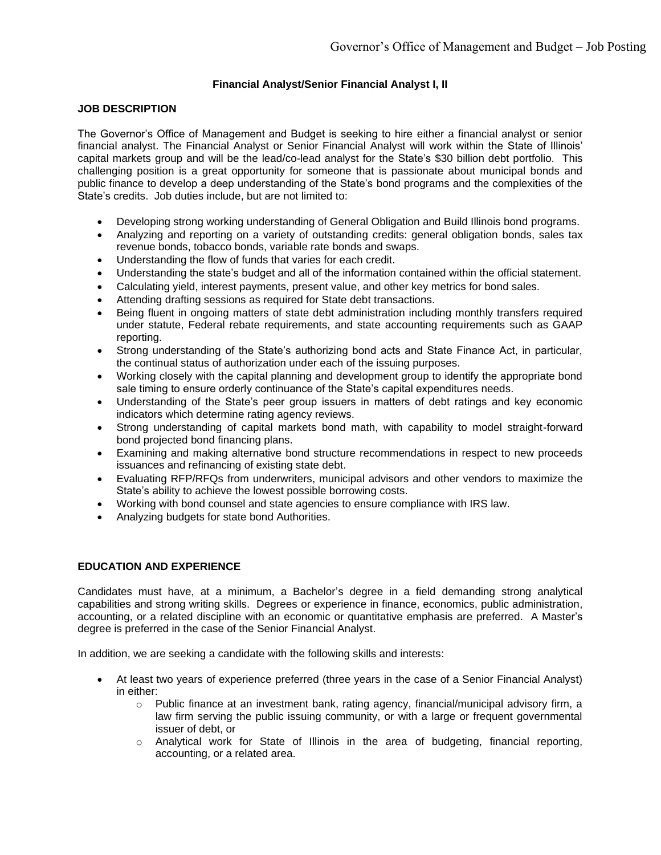# **Financial Analyst/Senior Financial Analyst I, II**

#### **JOB DESCRIPTION**

The Governor's Office of Management and Budget is seeking to hire either a financial analyst or senior financial analyst. The Financial Analyst or Senior Financial Analyst will work within the State of Illinois' capital markets group and will be the lead/co-lead analyst for the State's \$30 billion debt portfolio. This challenging position is a great opportunity for someone that is passionate about municipal bonds and public finance to develop a deep understanding of the State's bond programs and the complexities of the State's credits. Job duties include, but are not limited to:

- Developing strong working understanding of General Obligation and Build Illinois bond programs.
- Analyzing and reporting on a variety of outstanding credits: general obligation bonds, sales tax revenue bonds, tobacco bonds, variable rate bonds and swaps.
- Understanding the flow of funds that varies for each credit.
- Understanding the state's budget and all of the information contained within the official statement.
- Calculating yield, interest payments, present value, and other key metrics for bond sales.
- Attending drafting sessions as required for State debt transactions.
- Being fluent in ongoing matters of state debt administration including monthly transfers required under statute, Federal rebate requirements, and state accounting requirements such as GAAP reporting.
- Strong understanding of the State's authorizing bond acts and State Finance Act, in particular, the continual status of authorization under each of the issuing purposes.
- Working closely with the capital planning and development group to identify the appropriate bond sale timing to ensure orderly continuance of the State's capital expenditures needs.
- Understanding of the State's peer group issuers in matters of debt ratings and key economic indicators which determine rating agency reviews.
- Strong understanding of capital markets bond math, with capability to model straight-forward bond projected bond financing plans.
- Examining and making alternative bond structure recommendations in respect to new proceeds issuances and refinancing of existing state debt.
- Evaluating RFP/RFQs from underwriters, municipal advisors and other vendors to maximize the State's ability to achieve the lowest possible borrowing costs.
- Working with bond counsel and state agencies to ensure compliance with IRS law.
- Analyzing budgets for state bond Authorities.

#### **EDUCATION AND EXPERIENCE**

Candidates must have, at a minimum, a Bachelor's degree in a field demanding strong analytical capabilities and strong writing skills. Degrees or experience in finance, economics, public administration, accounting, or a related discipline with an economic or quantitative emphasis are preferred. A Master's degree is preferred in the case of the Senior Financial Analyst.

In addition, we are seeking a candidate with the following skills and interests:

- At least two years of experience preferred (three years in the case of a Senior Financial Analyst) in either:
	- $\circ$  Public finance at an investment bank, rating agency, financial/municipal advisory firm, a law firm serving the public issuing community, or with a large or frequent governmental issuer of debt, or
	- $\circ$  Analytical work for State of Illinois in the area of budgeting, financial reporting, accounting, or a related area.